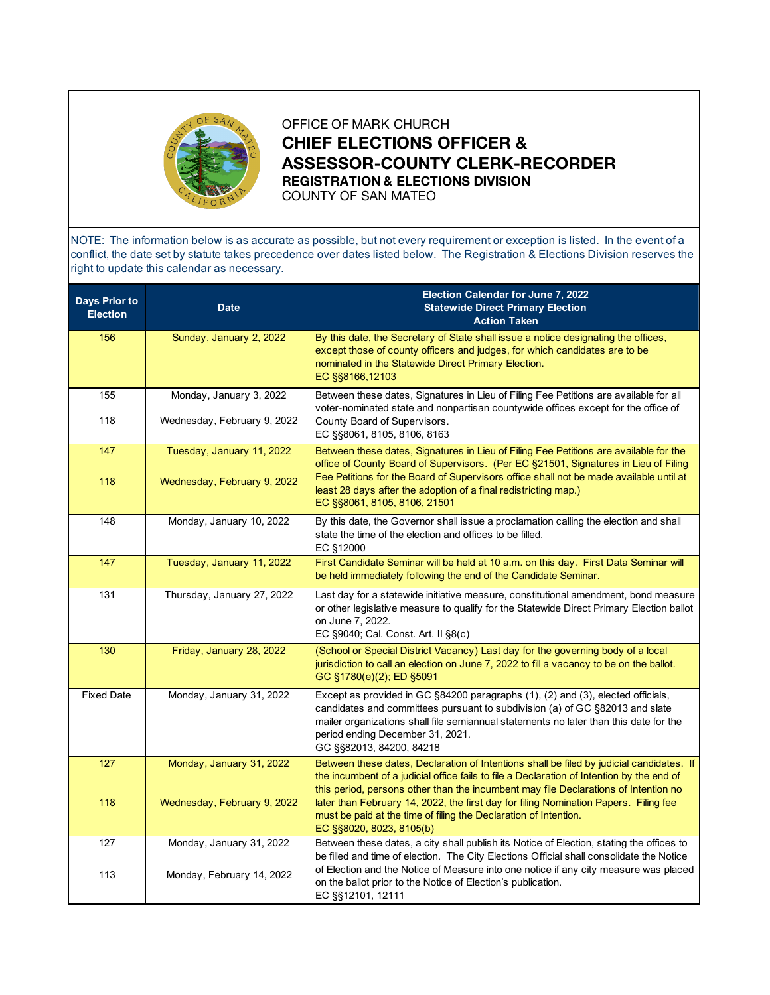

OFFICE OF MARK CHURCH **CHIEF ELECTIONS OFFICER & ASSESSOR-COUNTY CLERK-RECORDER REGISTRATION & ELECTIONS DIVISION** COUNTY OF SAN MATEO

NOTE: The information below is as accurate as possible, but not every requirement or exception is listed. In the event of a conflict, the date set by statute takes precedence over dates listed below. The Registration & Elections Division reserves the right to update this calendar as necessary.

| <b>Days Prior to</b><br><b>Election</b> | <b>Date</b>                                              | <b>Election Calendar for June 7, 2022</b><br><b>Statewide Direct Primary Election</b><br><b>Action Taken</b>                                                                                                                                                                                                                                                                                                                                                         |
|-----------------------------------------|----------------------------------------------------------|----------------------------------------------------------------------------------------------------------------------------------------------------------------------------------------------------------------------------------------------------------------------------------------------------------------------------------------------------------------------------------------------------------------------------------------------------------------------|
| 156                                     | Sunday, January 2, 2022                                  | By this date, the Secretary of State shall issue a notice designating the offices,<br>except those of county officers and judges, for which candidates are to be<br>nominated in the Statewide Direct Primary Election.<br>EC §§8166,12103                                                                                                                                                                                                                           |
| 155<br>118                              | Monday, January 3, 2022<br>Wednesday, February 9, 2022   | Between these dates, Signatures in Lieu of Filing Fee Petitions are available for all<br>voter-nominated state and nonpartisan countywide offices except for the office of<br>County Board of Supervisors.<br>EC §§8061, 8105, 8106, 8163                                                                                                                                                                                                                            |
| 147<br>118                              | Tuesday, January 11, 2022<br>Wednesday, February 9, 2022 | Between these dates, Signatures in Lieu of Filing Fee Petitions are available for the<br>office of County Board of Supervisors. (Per EC §21501, Signatures in Lieu of Filing<br>Fee Petitions for the Board of Supervisors office shall not be made available until at<br>least 28 days after the adoption of a final redistricting map.)<br>EC §§8061, 8105, 8106, 21501                                                                                            |
| 148                                     | Monday, January 10, 2022                                 | By this date, the Governor shall issue a proclamation calling the election and shall<br>state the time of the election and offices to be filled.<br>EC §12000                                                                                                                                                                                                                                                                                                        |
| 147                                     | Tuesday, January 11, 2022                                | First Candidate Seminar will be held at 10 a.m. on this day. First Data Seminar will<br>be held immediately following the end of the Candidate Seminar.                                                                                                                                                                                                                                                                                                              |
| 131                                     | Thursday, January 27, 2022                               | Last day for a statewide initiative measure, constitutional amendment, bond measure<br>or other legislative measure to qualify for the Statewide Direct Primary Election ballot<br>on June 7, 2022.<br>EC §9040; Cal. Const. Art. II §8(c)                                                                                                                                                                                                                           |
| $\frac{130}{ }$                         | Friday, January 28, 2022                                 | (School or Special District Vacancy) Last day for the governing body of a local<br>jurisdiction to call an election on June 7, 2022 to fill a vacancy to be on the ballot.<br>GC §1780(e)(2); ED §5091                                                                                                                                                                                                                                                               |
| <b>Fixed Date</b>                       | Monday, January 31, 2022                                 | Except as provided in GC §84200 paragraphs (1), (2) and (3), elected officials,<br>candidates and committees pursuant to subdivision (a) of GC §82013 and slate<br>mailer organizations shall file semiannual statements no later than this date for the<br>period ending December 31, 2021.<br>GC §§82013, 84200, 84218                                                                                                                                             |
| 127<br>118                              | Monday, January 31, 2022<br>Wednesday, February 9, 2022  | Between these dates, Declaration of Intentions shall be filed by judicial candidates. If<br>the incumbent of a judicial office fails to file a Declaration of Intention by the end of<br>this period, persons other than the incumbent may file Declarations of Intention no<br>later than February 14, 2022, the first day for filing Nomination Papers. Filing fee<br>must be paid at the time of filing the Declaration of Intention.<br>EC §§8020, 8023, 8105(b) |
| 127<br>113                              | Monday, January 31, 2022<br>Monday, February 14, 2022    | Between these dates, a city shall publish its Notice of Election, stating the offices to<br>be filled and time of election. The City Elections Official shall consolidate the Notice<br>of Election and the Notice of Measure into one notice if any city measure was placed<br>on the ballot prior to the Notice of Election's publication.<br>EC §§12101, 12111                                                                                                    |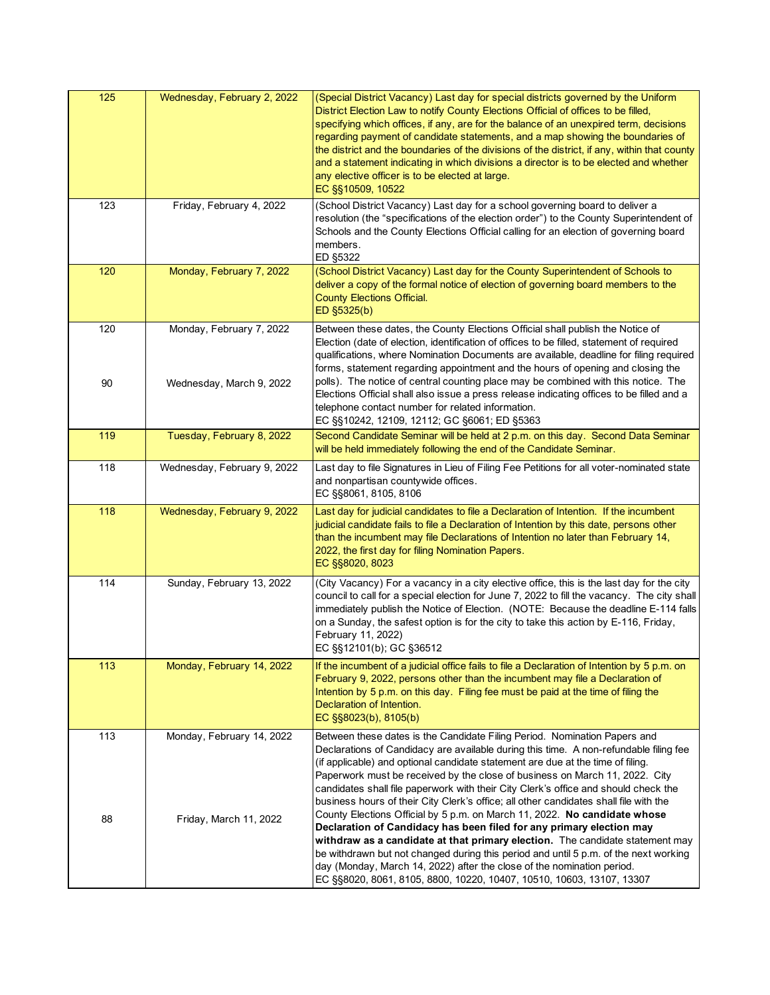| 125       | Wednesday, February 2, 2022                          | (Special District Vacancy) Last day for special districts governed by the Uniform<br>District Election Law to notify County Elections Official of offices to be filled,<br>specifying which offices, if any, are for the balance of an unexpired term, decisions<br>regarding payment of candidate statements, and a map showing the boundaries of<br>the district and the boundaries of the divisions of the district, if any, within that county<br>and a statement indicating in which divisions a director is to be elected and whether<br>any elective officer is to be elected at large.<br>EC §§10509, 10522 |
|-----------|------------------------------------------------------|---------------------------------------------------------------------------------------------------------------------------------------------------------------------------------------------------------------------------------------------------------------------------------------------------------------------------------------------------------------------------------------------------------------------------------------------------------------------------------------------------------------------------------------------------------------------------------------------------------------------|
| 123       | Friday, February 4, 2022                             | (School District Vacancy) Last day for a school governing board to deliver a<br>resolution (the "specifications of the election order") to the County Superintendent of<br>Schools and the County Elections Official calling for an election of governing board<br>members.<br>ED §5322                                                                                                                                                                                                                                                                                                                             |
| 120       | Monday, February 7, 2022                             | (School District Vacancy) Last day for the County Superintendent of Schools to<br>deliver a copy of the formal notice of election of governing board members to the<br><b>County Elections Official.</b><br>ED §5325(b)                                                                                                                                                                                                                                                                                                                                                                                             |
| 120<br>90 | Monday, February 7, 2022<br>Wednesday, March 9, 2022 | Between these dates, the County Elections Official shall publish the Notice of<br>Election (date of election, identification of offices to be filled, statement of required<br>qualifications, where Nomination Documents are available, deadline for filing required<br>forms, statement regarding appointment and the hours of opening and closing the<br>polls). The notice of central counting place may be combined with this notice. The<br>Elections Official shall also issue a press release indicating offices to be filled and a<br>telephone contact number for related information.                    |
|           |                                                      | EC §§10242, 12109, 12112; GC §6061; ED §5363                                                                                                                                                                                                                                                                                                                                                                                                                                                                                                                                                                        |
| 119       | Tuesday, February 8, 2022                            | Second Candidate Seminar will be held at 2 p.m. on this day. Second Data Seminar<br>will be held immediately following the end of the Candidate Seminar.                                                                                                                                                                                                                                                                                                                                                                                                                                                            |
| 118       | Wednesday, February 9, 2022                          | Last day to file Signatures in Lieu of Filing Fee Petitions for all voter-nominated state<br>and nonpartisan countywide offices.<br>EC §§8061, 8105, 8106                                                                                                                                                                                                                                                                                                                                                                                                                                                           |
| 118       | Wednesday, February 9, 2022                          | Last day for judicial candidates to file a Declaration of Intention. If the incumbent<br>judicial candidate fails to file a Declaration of Intention by this date, persons other<br>than the incumbent may file Declarations of Intention no later than February 14,<br>2022, the first day for filing Nomination Papers.<br>EC §§8020, 8023                                                                                                                                                                                                                                                                        |
| 114       | Sunday, February 13, 2022                            | (City Vacancy) For a vacancy in a city elective office, this is the last day for the city<br>council to call for a special election for June 7, 2022 to fill the vacancy. The city shall<br>immediately publish the Notice of Election. (NOTE: Because the deadline E-114 falls<br>on a Sunday, the safest option is for the city to take this action by E-116, Friday,<br>February 11, 2022)<br>EC §§12101(b); GC §36512                                                                                                                                                                                           |
| 113       | Monday, February 14, 2022                            | If the incumbent of a judicial office fails to file a Declaration of Intention by 5 p.m. on<br>February 9, 2022, persons other than the incumbent may file a Declaration of<br>Intention by 5 p.m. on this day. Filing fee must be paid at the time of filing the<br>Declaration of Intention.<br>EC §§8023(b), 8105(b)                                                                                                                                                                                                                                                                                             |
| 113       | Monday, February 14, 2022                            | Between these dates is the Candidate Filing Period. Nomination Papers and<br>Declarations of Candidacy are available during this time. A non-refundable filing fee<br>(if applicable) and optional candidate statement are due at the time of filing.<br>Paperwork must be received by the close of business on March 11, 2022. City<br>candidates shall file paperwork with their City Clerk's office and should check the<br>business hours of their City Clerk's office; all other candidates shall file with the                                                                                                |
| 88        | Friday, March 11, 2022                               | County Elections Official by 5 p.m. on March 11, 2022. No candidate whose<br>Declaration of Candidacy has been filed for any primary election may<br>withdraw as a candidate at that primary election. The candidate statement may<br>be withdrawn but not changed during this period and until 5 p.m. of the next working<br>day (Monday, March 14, 2022) after the close of the nomination period.<br>EC §§8020, 8061, 8105, 8800, 10220, 10407, 10510, 10603, 13107, 13307                                                                                                                                       |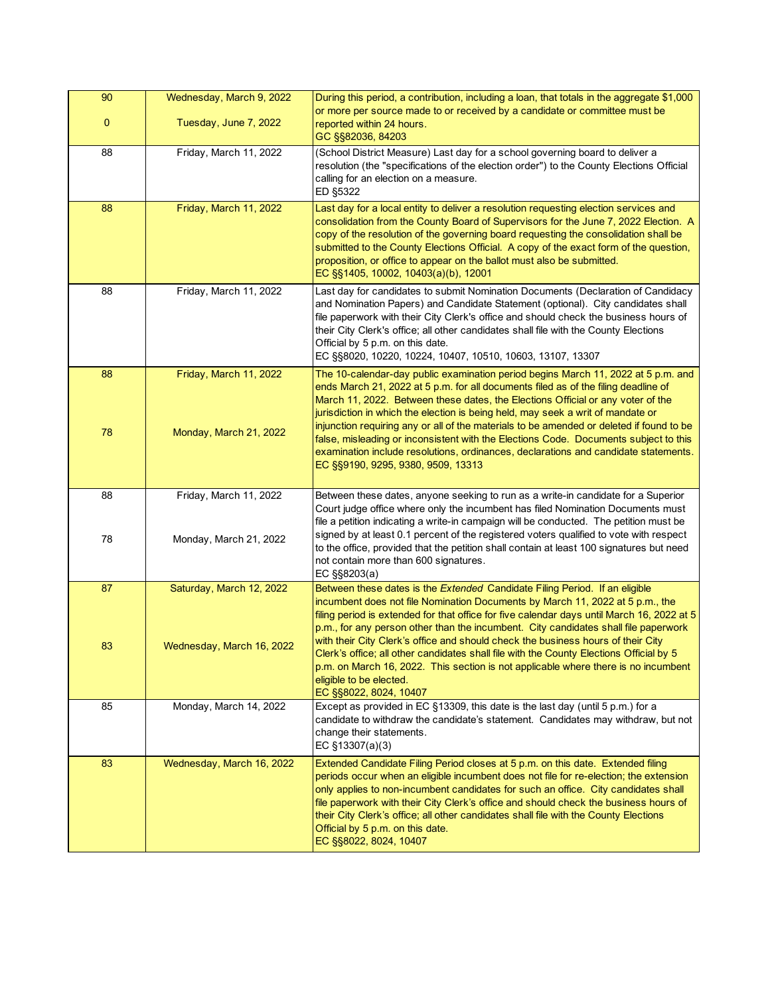| 90          | Wednesday, March 9, 2022  | During this period, a contribution, including a loan, that totals in the aggregate \$1,000<br>or more per source made to or received by a candidate or committee must be                                                                                                                                                                                                                                                                                                                                     |
|-------------|---------------------------|--------------------------------------------------------------------------------------------------------------------------------------------------------------------------------------------------------------------------------------------------------------------------------------------------------------------------------------------------------------------------------------------------------------------------------------------------------------------------------------------------------------|
| $\mathbf 0$ | Tuesday, June 7, 2022     | reported within 24 hours.<br>GC §§82036, 84203                                                                                                                                                                                                                                                                                                                                                                                                                                                               |
| 88          | Friday, March 11, 2022    | (School District Measure) Last day for a school governing board to deliver a<br>resolution (the "specifications of the election order") to the County Elections Official<br>calling for an election on a measure.<br>ED §5322                                                                                                                                                                                                                                                                                |
| 88          | Friday, March 11, 2022    | Last day for a local entity to deliver a resolution requesting election services and<br>consolidation from the County Board of Supervisors for the June 7, 2022 Election. A<br>copy of the resolution of the governing board requesting the consolidation shall be<br>submitted to the County Elections Official. A copy of the exact form of the question,<br>proposition, or office to appear on the ballot must also be submitted.<br>EC §§1405, 10002, 10403(a)(b), 12001                                |
| 88          | Friday, March 11, 2022    | Last day for candidates to submit Nomination Documents (Declaration of Candidacy<br>and Nomination Papers) and Candidate Statement (optional). City candidates shall<br>file paperwork with their City Clerk's office and should check the business hours of<br>their City Clerk's office; all other candidates shall file with the County Elections<br>Official by 5 p.m. on this date.<br>EC §§8020, 10220, 10224, 10407, 10510, 10603, 13107, 13307                                                       |
| 88          | Friday, March 11, 2022    | The 10-calendar-day public examination period begins March 11, 2022 at 5 p.m. and<br>ends March 21, 2022 at 5 p.m. for all documents filed as of the filing deadline of<br>March 11, 2022. Between these dates, the Elections Official or any voter of the<br>jurisdiction in which the election is being held, may seek a writ of mandate or<br>injunction requiring any or all of the materials to be amended or deleted if found to be                                                                    |
| 78          | Monday, March 21, 2022    | false, misleading or inconsistent with the Elections Code. Documents subject to this<br>examination include resolutions, ordinances, declarations and candidate statements.<br>EC §§9190, 9295, 9380, 9509, 13313                                                                                                                                                                                                                                                                                            |
| 88          | Friday, March 11, 2022    | Between these dates, anyone seeking to run as a write-in candidate for a Superior<br>Court judge office where only the incumbent has filed Nomination Documents must<br>file a petition indicating a write-in campaign will be conducted. The petition must be                                                                                                                                                                                                                                               |
| 78          | Monday, March 21, 2022    | signed by at least 0.1 percent of the registered voters qualified to vote with respect<br>to the office, provided that the petition shall contain at least 100 signatures but need<br>not contain more than 600 signatures.<br>EC §§8203(a)                                                                                                                                                                                                                                                                  |
| 87          | Saturday, March 12, 2022  | Between these dates is the Extended Candidate Filing Period. If an eligible<br>incumbent does not file Nomination Documents by March 11, 2022 at 5 p.m., the<br>filing period is extended for that office for five calendar days until March 16, 2022 at 5<br>p.m., for any person other than the incumbent. City candidates shall file paperwork<br>with their City Clerk's office and should check the business hours of their City                                                                        |
| 83          | Wednesday, March 16, 2022 | Clerk's office; all other candidates shall file with the County Elections Official by 5<br>p.m. on March 16, 2022. This section is not applicable where there is no incumbent<br>eligible to be elected.<br>EC §§8022, 8024, 10407                                                                                                                                                                                                                                                                           |
| 85          | Monday, March 14, 2022    | Except as provided in EC §13309, this date is the last day (until 5 p.m.) for a<br>candidate to withdraw the candidate's statement. Candidates may withdraw, but not<br>change their statements.<br>EC §13307(a)(3)                                                                                                                                                                                                                                                                                          |
| 83          | Wednesday, March 16, 2022 | Extended Candidate Filing Period closes at 5 p.m. on this date. Extended filing<br>periods occur when an eligible incumbent does not file for re-election; the extension<br>only applies to non-incumbent candidates for such an office. City candidates shall<br>file paperwork with their City Clerk's office and should check the business hours of<br>their City Clerk's office; all other candidates shall file with the County Elections<br>Official by 5 p.m. on this date.<br>EC §§8022, 8024, 10407 |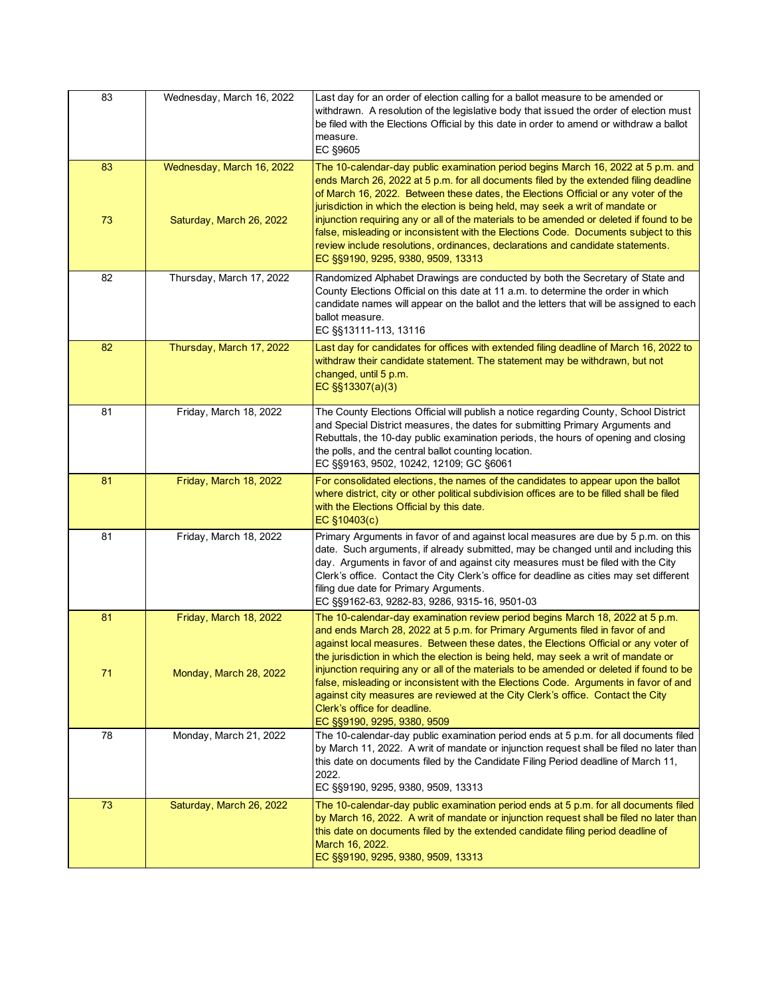| 83       | Wednesday, March 16, 2022                             | Last day for an order of election calling for a ballot measure to be amended or<br>withdrawn. A resolution of the legislative body that issued the order of election must<br>be filed with the Elections Official by this date in order to amend or withdraw a ballot<br>measure.<br>EC §9605                                                                                                                                                                                                                                                                                                                                                                   |
|----------|-------------------------------------------------------|-----------------------------------------------------------------------------------------------------------------------------------------------------------------------------------------------------------------------------------------------------------------------------------------------------------------------------------------------------------------------------------------------------------------------------------------------------------------------------------------------------------------------------------------------------------------------------------------------------------------------------------------------------------------|
| 83<br>73 | Wednesday, March 16, 2022<br>Saturday, March 26, 2022 | The 10-calendar-day public examination period begins March 16, 2022 at 5 p.m. and<br>ends March 26, 2022 at 5 p.m. for all documents filed by the extended filing deadline<br>of March 16, 2022. Between these dates, the Elections Official or any voter of the<br>jurisdiction in which the election is being held, may seek a writ of mandate or<br>injunction requiring any or all of the materials to be amended or deleted if found to be<br>false, misleading or inconsistent with the Elections Code. Documents subject to this<br>review include resolutions, ordinances, declarations and candidate statements.<br>EC §§9190, 9295, 9380, 9509, 13313 |
| 82       | Thursday, March 17, 2022                              | Randomized Alphabet Drawings are conducted by both the Secretary of State and<br>County Elections Official on this date at 11 a.m. to determine the order in which<br>candidate names will appear on the ballot and the letters that will be assigned to each<br>ballot measure.<br>EC §§13111-113, 13116                                                                                                                                                                                                                                                                                                                                                       |
| 82       | Thursday, March 17, 2022                              | Last day for candidates for offices with extended filing deadline of March 16, 2022 to<br>withdraw their candidate statement. The statement may be withdrawn, but not<br>changed, until 5 p.m.<br>EC §§13307(a)(3)                                                                                                                                                                                                                                                                                                                                                                                                                                              |
| 81       | Friday, March 18, 2022                                | The County Elections Official will publish a notice regarding County, School District<br>and Special District measures, the dates for submitting Primary Arguments and<br>Rebuttals, the 10-day public examination periods, the hours of opening and closing<br>the polls, and the central ballot counting location.<br>EC §§9163, 9502, 10242, 12109; GC §6061                                                                                                                                                                                                                                                                                                 |
| 81       | Friday, March 18, 2022                                | For consolidated elections, the names of the candidates to appear upon the ballot<br>where district, city or other political subdivision offices are to be filled shall be filed<br>with the Elections Official by this date.<br>EC §10403(c)                                                                                                                                                                                                                                                                                                                                                                                                                   |
| 81       | Friday, March 18, 2022                                | Primary Arguments in favor of and against local measures are due by 5 p.m. on this<br>date. Such arguments, if already submitted, may be changed until and including this<br>day. Arguments in favor of and against city measures must be filed with the City<br>Clerk's office. Contact the City Clerk's office for deadline as cities may set different<br>filing due date for Primary Arguments.<br>EC §§9162-63, 9282-83, 9286, 9315-16, 9501-03                                                                                                                                                                                                            |
| 81       | Friday, March 18, 2022                                | The 10-calendar-day examination review period begins March 18, 2022 at 5 p.m.<br>and ends March 28, 2022 at 5 p.m. for Primary Arguments filed in favor of and<br>against local measures. Between these dates, the Elections Official or any voter of<br>the jurisdiction in which the election is being held, may seek a writ of mandate or                                                                                                                                                                                                                                                                                                                    |
| 71       | Monday, March 28, 2022                                | injunction requiring any or all of the materials to be amended or deleted if found to be<br>false, misleading or inconsistent with the Elections Code. Arguments in favor of and<br>against city measures are reviewed at the City Clerk's office. Contact the City<br>Clerk's office for deadline.<br>EC §§9190, 9295, 9380, 9509                                                                                                                                                                                                                                                                                                                              |
| 78       | Monday, March 21, 2022                                | The 10-calendar-day public examination period ends at 5 p.m. for all documents filed<br>by March 11, 2022. A writ of mandate or injunction request shall be filed no later than<br>this date on documents filed by the Candidate Filing Period deadline of March 11,<br>2022.<br>EC §§9190, 9295, 9380, 9509, 13313                                                                                                                                                                                                                                                                                                                                             |
| 73       | Saturday, March 26, 2022                              | The 10-calendar-day public examination period ends at 5 p.m. for all documents filed<br>by March 16, 2022. A writ of mandate or injunction request shall be filed no later than<br>this date on documents filed by the extended candidate filing period deadline of<br>March 16, 2022.<br>EC §§9190, 9295, 9380, 9509, 13313                                                                                                                                                                                                                                                                                                                                    |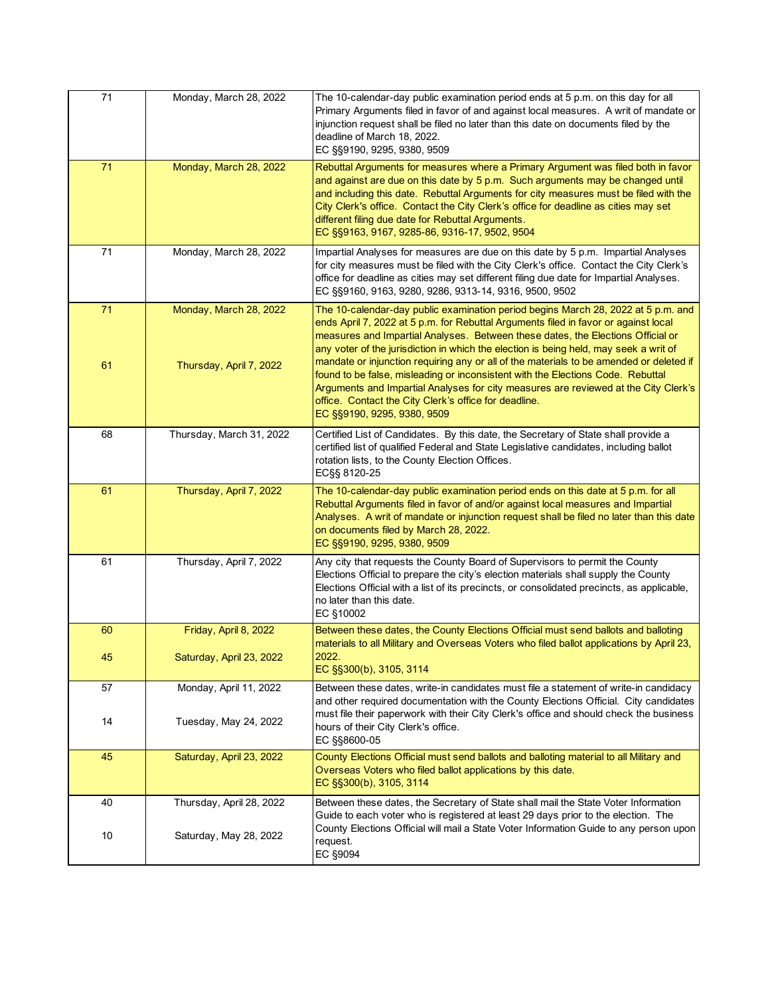| 71       | Monday, March 28, 2022                            | The 10-calendar-day public examination period ends at 5 p.m. on this day for all<br>Primary Arguments filed in favor of and against local measures. A writ of mandate or<br>injunction request shall be filed no later than this date on documents filed by the<br>deadline of March 18, 2022.<br>EC §§9190, 9295, 9380, 9509                                                                                                                                                                                                                                                                                                                                                                                     |
|----------|---------------------------------------------------|-------------------------------------------------------------------------------------------------------------------------------------------------------------------------------------------------------------------------------------------------------------------------------------------------------------------------------------------------------------------------------------------------------------------------------------------------------------------------------------------------------------------------------------------------------------------------------------------------------------------------------------------------------------------------------------------------------------------|
| 71       | Monday, March 28, 2022                            | Rebuttal Arguments for measures where a Primary Argument was filed both in favor<br>and against are due on this date by 5 p.m. Such arguments may be changed until<br>and including this date. Rebuttal Arguments for city measures must be filed with the<br>City Clerk's office. Contact the City Clerk's office for deadline as cities may set<br>different filing due date for Rebuttal Arguments.<br>EC §§9163, 9167, 9285-86, 9316-17, 9502, 9504                                                                                                                                                                                                                                                           |
| 71       | Monday, March 28, 2022                            | Impartial Analyses for measures are due on this date by 5 p.m. Impartial Analyses<br>for city measures must be filed with the City Clerk's office. Contact the City Clerk's<br>office for deadline as cities may set different filing due date for Impartial Analyses.<br>EC §§9160, 9163, 9280, 9286, 9313-14, 9316, 9500, 9502                                                                                                                                                                                                                                                                                                                                                                                  |
| 71<br>61 | Monday, March 28, 2022<br>Thursday, April 7, 2022 | The 10-calendar-day public examination period begins March 28, 2022 at 5 p.m. and<br>ends April 7, 2022 at 5 p.m. for Rebuttal Arguments filed in favor or against local<br>measures and Impartial Analyses. Between these dates, the Elections Official or<br>any voter of the jurisdiction in which the election is being held, may seek a writ of<br>mandate or injunction requiring any or all of the materials to be amended or deleted if<br>found to be false, misleading or inconsistent with the Elections Code. Rebuttal<br>Arguments and Impartial Analyses for city measures are reviewed at the City Clerk's<br>office. Contact the City Clerk's office for deadline.<br>EC §§9190, 9295, 9380, 9509 |
| 68       | Thursday, March 31, 2022                          | Certified List of Candidates. By this date, the Secretary of State shall provide a<br>certified list of qualified Federal and State Legislative candidates, including ballot<br>rotation lists, to the County Election Offices.<br>EC§§ 8120-25                                                                                                                                                                                                                                                                                                                                                                                                                                                                   |
| 61       | Thursday, April 7, 2022                           | The 10-calendar-day public examination period ends on this date at 5 p.m. for all<br>Rebuttal Arguments filed in favor of and/or against local measures and Impartial<br>Analyses. A writ of mandate or injunction request shall be filed no later than this date<br>on documents filed by March 28, 2022.<br>EC §§9190, 9295, 9380, 9509                                                                                                                                                                                                                                                                                                                                                                         |
| 61       | Thursday, April 7, 2022                           | Any city that requests the County Board of Supervisors to permit the County<br>Elections Official to prepare the city's election materials shall supply the County<br>Elections Official with a list of its precincts, or consolidated precincts, as applicable,<br>no later than this date.<br>EC §10002                                                                                                                                                                                                                                                                                                                                                                                                         |
| 60       | Friday, April 8, 2022                             | Between these dates, the County Elections Official must send ballots and balloting                                                                                                                                                                                                                                                                                                                                                                                                                                                                                                                                                                                                                                |
| 45       | Saturday, April 23, 2022                          | materials to all Military and Overseas Voters who filed ballot applications by April 23,<br>2022.<br>EC §§300(b), 3105, 3114                                                                                                                                                                                                                                                                                                                                                                                                                                                                                                                                                                                      |
| 57       | Monday, April 11, 2022                            | Between these dates, write-in candidates must file a statement of write-in candidacy<br>and other required documentation with the County Elections Official. City candidates                                                                                                                                                                                                                                                                                                                                                                                                                                                                                                                                      |
| 14       | Tuesday, May 24, 2022                             | must file their paperwork with their City Clerk's office and should check the business<br>hours of their City Clerk's office.<br>EC §§8600-05                                                                                                                                                                                                                                                                                                                                                                                                                                                                                                                                                                     |
| 45       | Saturday, April 23, 2022                          | County Elections Official must send ballots and balloting material to all Military and<br>Overseas Voters who filed ballot applications by this date.<br>EC §§300(b), 3105, 3114                                                                                                                                                                                                                                                                                                                                                                                                                                                                                                                                  |
| 40       | Thursday, April 28, 2022                          | Between these dates, the Secretary of State shall mail the State Voter Information<br>Guide to each voter who is registered at least 29 days prior to the election. The                                                                                                                                                                                                                                                                                                                                                                                                                                                                                                                                           |
| 10       | Saturday, May 28, 2022                            | County Elections Official will mail a State Voter Information Guide to any person upon<br>request.<br>EC §9094                                                                                                                                                                                                                                                                                                                                                                                                                                                                                                                                                                                                    |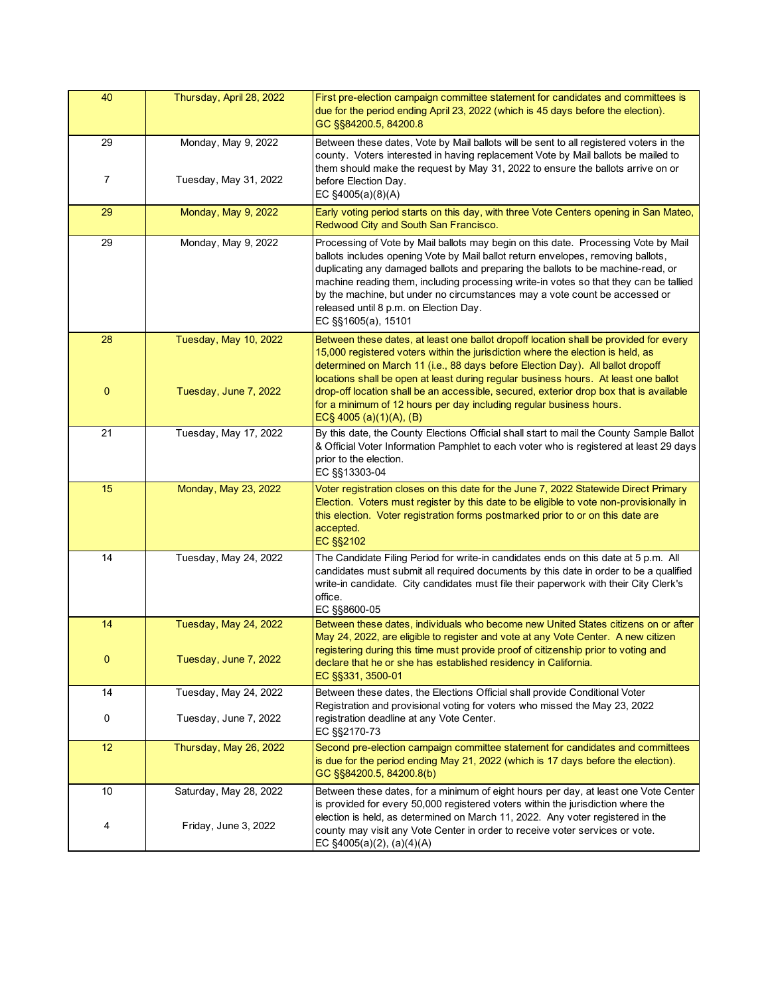| 40                 | Thursday, April 28, 2022                       | First pre-election campaign committee statement for candidates and committees is<br>due for the period ending April 23, 2022 (which is 45 days before the election).<br>GC §§84200.5, 84200.8                                                                                                                                                                                                                                                                                                                                                     |
|--------------------|------------------------------------------------|---------------------------------------------------------------------------------------------------------------------------------------------------------------------------------------------------------------------------------------------------------------------------------------------------------------------------------------------------------------------------------------------------------------------------------------------------------------------------------------------------------------------------------------------------|
| 29<br>7            | Monday, May 9, 2022<br>Tuesday, May 31, 2022   | Between these dates, Vote by Mail ballots will be sent to all registered voters in the<br>county. Voters interested in having replacement Vote by Mail ballots be mailed to<br>them should make the request by May 31, 2022 to ensure the ballots arrive on or<br>before Election Day.<br>EC §4005(a)(8)(A)                                                                                                                                                                                                                                       |
| 29                 | Monday, May 9, 2022                            | Early voting period starts on this day, with three Vote Centers opening in San Mateo,<br>Redwood City and South San Francisco.                                                                                                                                                                                                                                                                                                                                                                                                                    |
| 29                 | Monday, May 9, 2022                            | Processing of Vote by Mail ballots may begin on this date. Processing Vote by Mail<br>ballots includes opening Vote by Mail ballot return envelopes, removing ballots,<br>duplicating any damaged ballots and preparing the ballots to be machine-read, or<br>machine reading them, including processing write-in votes so that they can be tallied<br>by the machine, but under no circumstances may a vote count be accessed or<br>released until 8 p.m. on Election Day.<br>EC §§1605(a), 15101                                                |
| 28<br>$\mathbf{0}$ | Tuesday, May 10, 2022<br>Tuesday, June 7, 2022 | Between these dates, at least one ballot dropoff location shall be provided for every<br>15,000 registered voters within the jurisdiction where the election is held, as<br>determined on March 11 (i.e., 88 days before Election Day). All ballot dropoff<br>locations shall be open at least during regular business hours. At least one ballot<br>drop-off location shall be an accessible, secured, exterior drop box that is available<br>for a minimum of 12 hours per day including regular business hours.<br>EC§ 4005 (a) $(1)(A)$ , (B) |
| 21                 | Tuesday, May 17, 2022                          | By this date, the County Elections Official shall start to mail the County Sample Ballot<br>& Official Voter Information Pamphlet to each voter who is registered at least 29 days<br>prior to the election.<br>EC §§13303-04                                                                                                                                                                                                                                                                                                                     |
| 15                 | Monday, May 23, 2022                           | Voter registration closes on this date for the June 7, 2022 Statewide Direct Primary<br>Election. Voters must register by this date to be eligible to vote non-provisionally in<br>this election. Voter registration forms postmarked prior to or on this date are<br>accepted.<br>EC §§2102                                                                                                                                                                                                                                                      |
| 14                 | Tuesday, May 24, 2022                          | The Candidate Filing Period for write-in candidates ends on this date at 5 p.m. All<br>candidates must submit all required documents by this date in order to be a qualified<br>write-in candidate. City candidates must file their paperwork with their City Clerk's<br>office.<br>EC §§8600-05                                                                                                                                                                                                                                                  |
| 14                 | Tuesday, May 24, 2022                          | Between these dates, individuals who become new United States citizens on or after<br>May 24, 2022, are eligible to register and vote at any Vote Center. A new citizen<br>registering during this time must provide proof of citizenship prior to voting and                                                                                                                                                                                                                                                                                     |
| 0                  | Tuesday, June 7, 2022                          | declare that he or she has established residency in California.<br>EC §§331, 3500-01                                                                                                                                                                                                                                                                                                                                                                                                                                                              |
| 14                 | Tuesday, May 24, 2022                          | Between these dates, the Elections Official shall provide Conditional Voter<br>Registration and provisional voting for voters who missed the May 23, 2022                                                                                                                                                                                                                                                                                                                                                                                         |
| 0                  | Tuesday, June 7, 2022                          | registration deadline at any Vote Center.<br>EC §§2170-73                                                                                                                                                                                                                                                                                                                                                                                                                                                                                         |
| 12                 | Thursday, May 26, 2022                         | Second pre-election campaign committee statement for candidates and committees<br>is due for the period ending May 21, 2022 (which is 17 days before the election).<br>GC §§84200.5, 84200.8(b)                                                                                                                                                                                                                                                                                                                                                   |
| 10                 | Saturday, May 28, 2022                         | Between these dates, for a minimum of eight hours per day, at least one Vote Center<br>is provided for every 50,000 registered voters within the jurisdiction where the                                                                                                                                                                                                                                                                                                                                                                           |
| 4                  | Friday, June 3, 2022                           | election is held, as determined on March 11, 2022. Any voter registered in the<br>county may visit any Vote Center in order to receive voter services or vote.<br>EC $\S4005(a)(2)$ , $(a)(4)(A)$                                                                                                                                                                                                                                                                                                                                                 |